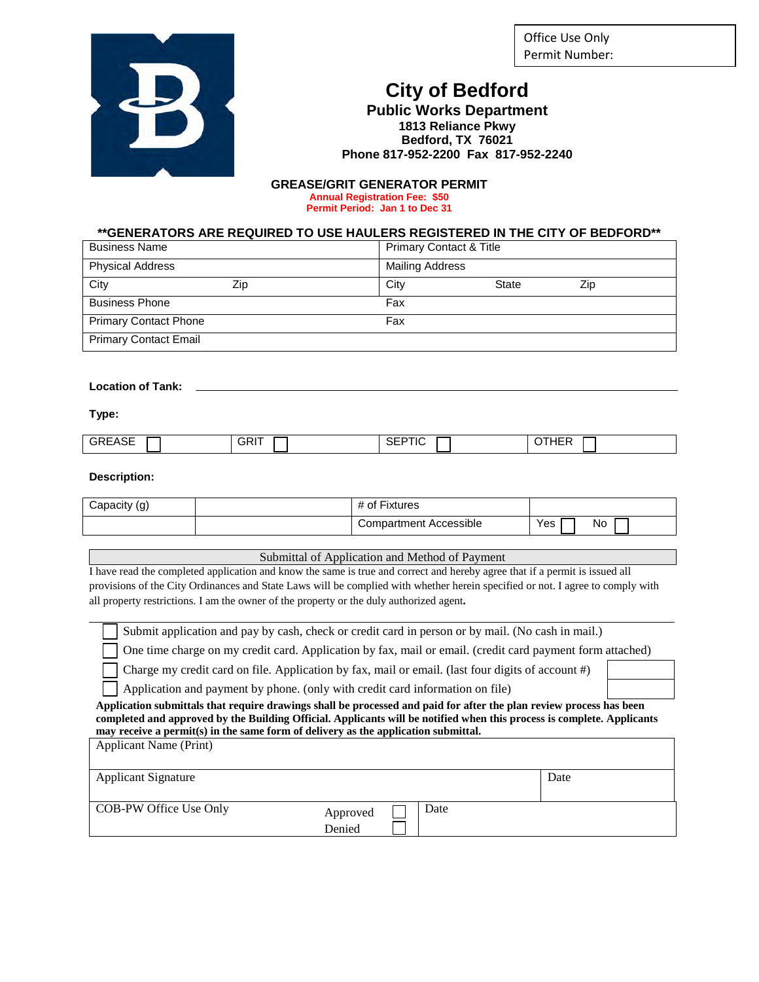Office Use Only Permit Number:



## **City of Bedford**

**Public Works Department 1813 Reliance Pkwy Bedford, TX 76021 Phone 817-952-2200 Fax 817-952-2240**

#### **GREASE/GRIT GENERATOR PERMIT Annual Registration Fee: \$50 Permit Period: Jan 1 to Dec 31**

**\*\*GENERATORS ARE REQUIRED TO USE HAULERS REGISTERED IN THE CITY OF BEDFORD\*\***

| <b>Business Name</b>         |     | <b>Primary Contact &amp; Title</b> |       |     |
|------------------------------|-----|------------------------------------|-------|-----|
| <b>Physical Address</b>      |     | <b>Mailing Address</b>             |       |     |
| City                         | Zip | City                               | State | Zip |
| <b>Business Phone</b>        |     | Fax                                |       |     |
| <b>Primary Contact Phone</b> |     | Fax                                |       |     |
| <b>Primary Contact Email</b> |     |                                    |       |     |

#### **Location of Tank:**

**Type:**

| <b>GREASE</b> | <b>GRIT</b> | $\sim$ $\sim$ $\sim$ $\sim$<br>.<br>⊦ו⊐⊂<br>∣∪ | <b>OTHER</b> |
|---------------|-------------|------------------------------------------------|--------------|

#### **Description:**

| .apacity (g) | $- \cdot$<br><b>Fixtures</b><br>0t |           |
|--------------|------------------------------------|-----------|
|              | Compartment Accessible             | Yes<br>Nc |

Submittal of Application and Method of Payment

I have read the completed application and know the same is true and correct and hereby agree that if a permit is issued all provisions of the City Ordinances and State Laws will be complied with whether herein specified or not. I agree to comply with all property restrictions. I am the owner of the property or the duly authorized agent**.** 

Submit application and pay by cash, check or credit card in person or by mail. (No cash in mail.)

One time charge on my credit card. Application by fax, mail or email. (credit card payment form attached)

Charge my credit card on file. Application by fax, mail or email. (last four digits of account #)

Application and payment by phone. (only with credit card information on file)

**Application submittals that require drawings shall be processed and paid for after the plan review process has been completed and approved by the Building Official. Applicants will be notified when this process is complete. Applicants may receive a permit(s) in the same form of delivery as the application submittal.** 

| <b>Applicant Name (Print)</b> |                    |      |      |
|-------------------------------|--------------------|------|------|
| <b>Applicant Signature</b>    |                    |      | Date |
| COB-PW Office Use Only        | Approved<br>Denied | Date |      |